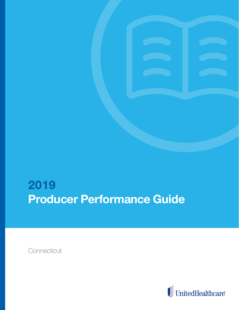

# **2019 Producer Performance Guide**

**Connecticut** 

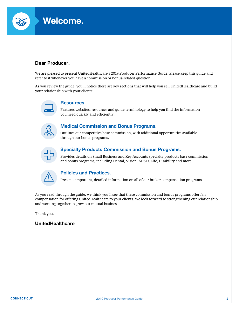

## **Dear Producer,**

We are pleased to present UnitedHealthcare's 2019 Producer Performance Guide. Please keep this guide and refer to it whenever you have a commission or bonus-related question.

As you review the guide, you'll notice there are key sections that will help you sell UnitedHealthcare and build your relationship with your clients:



#### **Resources.**

Features websites, resources and guide terminology to help you find the information you need quickly and efficiently.



### **Medical Commission and Bonus Programs.**

Outlines our competitive base commission, with additional opportunities available through our bonus programs.



## **Specialty Products Commission and Bonus Programs.**

Provides details on Small Business and Key Accounts specialty products base commission and bonus programs, including Dental, Vision, AD&D, Life, Disability and more.



### **Policies and Practices.**

Presents important, detailed information on all of our broker compensation programs.

As you read through the guide, we think you'll see that these commission and bonus programs offer fair compensation for offering UnitedHealthcare to your clients. We look forward to strengthening our relationship and working together to grow our mutual business.

Thank you,

### **UnitedHealthcare**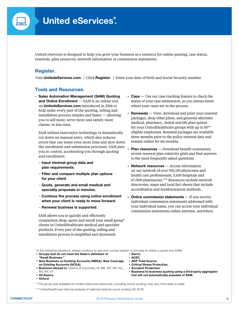

United eServices is designed to help you grow your business as a resource for online quoting, case status, renewals, plan resources, network information or commission statements.

## **Register.**

Visit **[UnitedeServices.com](http://UnitedeServices.com)**. | Click **Register**. | Enter your date of birth and Social Security number.

### **Tools and Resources.**

• **Sales Automation Management (SAM) Quoting and Online Enrollment** — SAM is an online tool on **[UnitedeServices.com](http://UnitedeServices.com)** introduced in 2016 to help make every part of the quoting, selling and installation process simpler and faster — allowing you to sell more, serve more and satisfy more clients, in less time.

 SAM utilizes innovative technology to dramatically cut down on manual entry, which also reduces errors that can waste even more time and slow down the enrollment and submission processes. SAM puts you in control, accelerating you through quoting and enrollment:

- **Input minimal group data and plan requirements.**
- **Filter and compare multiple plan options for your client.**
- **Quote, generate and email medical and specialty proposals in minutes.**
- **Continue the process using online enrollment when your client is ready to move forward.**
- **Renewal business is supported.**

 SAM allows you to quickly and efficiently comparison shop, quote and enroll your small group\* clients in UnitedHealthcare medical and specialty products. Every part of the quoting, selling and installation process is simplified and shortened.

- **Case**  Use our case-tracking feature to check the status of your case submission, so you always know where your cases are in the process.
- **Renewals** View, download and print your renewal packages, shop other plans, and generate alternate medical, pharmacy, dental and life plan quotes for your UnitedHealthcare groups with up to 50\*\* eligible employees. Renewal packages are available three months prior to the policy renewal date and remain online for six months.
- **Plan resources** Download benefit summaries, review renewal plan relativity grids and find answers to the most frequently asked questions.
- **Network resources**  Access information on our network of over 933,159 physicians and health care professionals, 5,639 hospitals and 67,000 pharmacies.\*\*\* Resources include network directories, maps and local fact sheets that include accreditation and reimbursement methods.
- **Online commission statements**  If you receive individual commission statements addressed with your individual name, you can access your individual commission statements online anytime, anywhere.

\*In the following situations, please continue to use your current system or process to obtain a quote (not SAM):

- **Groups that do not meet the State's definition of "Small Business."**
- **New Business on Existing Accounts (NBEA); New Coverage on Existing Accounts (NCEA).**
- **Business sitused in:** District of Columbia, HI, ME, MT, NH, NJ, NV, NY, VT.
- **All Savers.**
- **Oxford.**
- **Sierra.**
- **ACEC.**
- **ADP Total Source.**
- **Critical Illness Protection.**
- **Accident Protection.**
- **Business-to-business quoting using a third-party aggregator tool will not automatically populate in SAM.**

\*\*\*UnitedHealthcare internal analysis of national network count, ending Q3 2018.

<sup>\*\*</sup>The group size available for United eServices resources, including online quoting, may vary from state to state.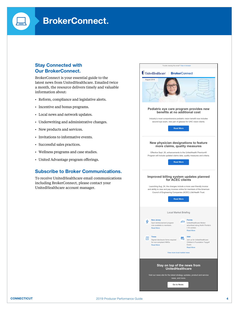## **BrokerConnect.**

### **Stay Connected with Our BrokerConnect.**

BrokerConnect is your essential guide to the latest news from UnitedHealthcare. Emailed twice a month, the resource delivers timely and valuable information about:

- Reform, compliance and legislative alerts.
- Incentive and bonus programs.
- Local news and network updates.
- Underwriting and administrative changes.
- New products and services.
- Invitations to informative events.
- Successful sales practices.
- Wellness programs and case studies.
- United Advantage program offerings.

### **Subscribe to Broker Communications.**

To receive UnitedHealthcare email communications including BrokerConnect, please contact your UnitedHealthcare account manager.

| Trouble viewing this email? View in browser                                                                                                                                                                                                                                                     |                                                                                                                          |  |
|-------------------------------------------------------------------------------------------------------------------------------------------------------------------------------------------------------------------------------------------------------------------------------------------------|--------------------------------------------------------------------------------------------------------------------------|--|
| UnitedHealthcare   BrokerConnect                                                                                                                                                                                                                                                                |                                                                                                                          |  |
| August 2018                                                                                                                                                                                                                                                                                     |                                                                                                                          |  |
| Pediatric eye care program provides new<br>benefits at no additional cost                                                                                                                                                                                                                       |                                                                                                                          |  |
| Industry's most comprehensive pediatric vision benefit now includes<br>second eye exam, new pair of glasses for UHC vision clients.<br><b>Read More</b>                                                                                                                                         |                                                                                                                          |  |
| New physician designations to feature                                                                                                                                                                                                                                                           |                                                                                                                          |  |
| more claims, quality measures                                                                                                                                                                                                                                                                   |                                                                                                                          |  |
| Effective Sept. 26, enhancements to the UnitedHealth Premium®<br>Program will include updated claims data, quality measures and criteria.                                                                                                                                                       |                                                                                                                          |  |
|                                                                                                                                                                                                                                                                                                 |                                                                                                                          |  |
| <b>Read More</b>                                                                                                                                                                                                                                                                                |                                                                                                                          |  |
| Improved billing system updates planned<br>for ACEC clients<br>Launching Aug. 24, the changes include a more user-friendly invoice<br>and ability to view and pay invoices online for members of the American<br>Council of Engineering Companies (ACEC) Life/Health Trust.<br><b>Read More</b> |                                                                                                                          |  |
| <b>Local Market Briefing</b>                                                                                                                                                                                                                                                                    |                                                                                                                          |  |
| <b>New Jersey</b><br>Ř<br>Gym reimbursement program<br>now available to members.<br><b>Read More</b>                                                                                                                                                                                            | <b>Florida</b><br>∼<br>UnitedHealthcare Motion<br>advertised along North Florida's<br>I-10 corridor.<br><b>Read More</b> |  |
| <b>Texas</b><br>ē<br>Signed disclosure forms required<br>for non-compliant HMOs.<br><b>Read More</b>                                                                                                                                                                                            | <b>Utah</b><br>的<br>Join us for UnitedHealthcare<br>Children's Foundation Topgolf<br>Event.<br><b>Read More</b>          |  |
| View more local market news                                                                                                                                                                                                                                                                     |                                                                                                                          |  |
| Stay on top of the news from<br><b>UnitedHealthcare</b>                                                                                                                                                                                                                                         |                                                                                                                          |  |
| Visit our news site for the latest strategy updates, product and service<br>news, and more.                                                                                                                                                                                                     |                                                                                                                          |  |
| Go to News                                                                                                                                                                                                                                                                                      |                                                                                                                          |  |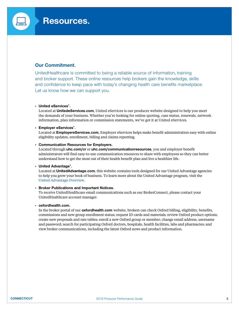

## **Our Commitment.**

UnitedHealthcare is committed to being a reliable source of information, training and broker support. These online resources help brokers gain the knowledge, skills and confidence to keep pace with today's changing health care benefits marketplace. Let us know how we can support you.

#### • **United eServices® .**

 Located at **[UnitedeServices.com](http://UnitedeServices.com)**, United eServices is our producer website designed to help you meet the demands of your business. Whether you're looking for online quoting, case status, renewals, network information, plan information or commission statements, we've got it at United eServices.

#### • **Employer eServices® .**

 Located at **[EmployereServices.com](http://EmployereServices.com)**, Employer eServices helps make benefit administration easy with online eligibility updates, enrollment, billing and claims reporting.

#### • **Communication Resources for Employers.**

 Located through **[uhc.com/cr](http://uhc.com/cr)** or **[uhc.com/communicationresources](http://uhc.com/communicationresources)**, you and employer benefit administrators will find easy-to-use communication resources to share with employees so they can better understand how to get the most out of their health benefit plan and live a healthier life.

#### • **United Advantage® .**

 Located at **[UnitedAdvantage.com](http://UnitedAdvantage.com)**, this website contains tools designed for our United Advantage agencies to help you grow your book of business. To learn more about the United Advantage program, visit the [United Advantage Overview.](http://www.uhctogether.com/UAkit/index.html)

#### • **Broker Publications and Important Notices.**

 To receive UnitedHealthcare email communications such as our BrokerConnect, please contact your UnitedHealthcare account manager.

#### • **[oxfordhealth.com.](http://oxfordhealth.com)**

 In the broker portal of our **[oxfordhealth.com](http://oxfordhealth.com)** website, brokers can check Oxford billing, eligibility, benefits, commissions and new group enrollment status; request ID cards and materials; review Oxford product options; create new proposals and rate tables; enroll a new Oxford group or member; change email address, username and password; search for participating Oxford doctors, hospitals, health facilities, labs and pharmacies; and view broker communications, including the latest Oxford news and product information.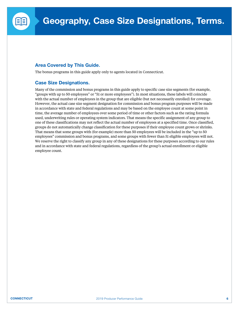

### **Area Covered by This Guide.**

The bonus programs in this guide apply only to agents located in Connecticut.

## **Case Size Designations.**

Many of the commission and bonus programs in this guide apply to specific case size segments (for example, "groups with up to 50 employees" or "51 or more employees"). In most situations, these labels will coincide with the actual number of employees in the group that are eligible (but not necessarily enrolled) for coverage. However, the actual case size segment designation for commission and bonus program purposes will be made in accordance with state and federal regulations and may be based on the employee count at some point in time, the average number of employees over some period of time or other factors such as the rating formula used, underwriting rules or operating system indicators. That means the specific assignment of any group to one of these classifications may not reflect the actual number of employees at a specified time. Once classified, groups do not automatically change classification for these purposes if their employee count grows or shrinks. That means that some groups with (for example) more than 50 employees will be included in the "up to 50 employees" commission and bonus programs, and some groups with fewer than 51 eligible employees will not. We reserve the right to classify any group in any of these designations for these purposes according to our rules and in accordance with state and federal regulations, regardless of the group's actual enrollment or eligible employee count.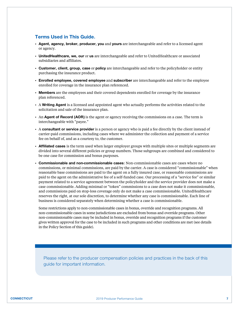## **Terms Used in This Guide.**

- **Agent, agency, broker, producer, you** and **yours** are interchangeable and refer to a licensed agent or agency.
- **UnitedHealthcare, we, our** or **us** are interchangeable and refer to UnitedHealthcare or associated subsidiaries and affiliates.
- **Customer, client, group, case** or **policy** are interchangeable and refer to the policyholder or entity purchasing the insurance product.
- **Enrolled employee, covered employee** and **subscriber** are interchangeable and refer to the employee enrolled for coverage in the insurance plan referenced.
- **Members** are the employees and their covered dependents enrolled for coverage by the insurance plan referenced.
- A **Writing Agent** is a licensed and appointed agent who actually performs the activities related to the solicitation and sale of the insurance plan.
- An **Agent of Record (AOR)** is the agent or agency receiving the commissions on a case. The term is interchangeable with "payee."
- A **consultant or service provider** is a person or agency who is paid a fee directly by the client instead of carrier-paid commissions, including cases where we administer the collection and payment of a service fee on behalf of, and as a courtesy to, the customer.
- **Affiliated cases** is the term used when larger employer groups with multiple sites or multiple segments are divided into several different policies or group numbers. Those subgroups are combined and considered to be one case for commission and bonus purposes.
- **Commissionable and non-commissionable cases:** Non-commissionable cases are cases where no commissions, or minimal commissions, are paid by the carrier. A case is considered "commissionable" when reasonable base commissions are paid to the agent on a fully insured case, or reasonable commissions are paid to the agent on the administrative fee of a self-funded case. Our processing of a "service fee" or similar payment related to a service agreement between the policyholder and the service provider does not make a case commissionable. Adding minimal or "token" commissions to a case does not make it commissionable, and commissions paid on stop-loss coverage only do not make a case commissionable. UnitedHealthcare reserves the right, at our sole discretion, to determine whether any case is commissionable. Each line of business is considered separately when determining whether a case is commissionable.

 Some restrictions apply to non-commissionable cases in bonus, override and recognition programs. All non-commissionable cases in some jurisdictions are excluded from bonus and override programs. Other non-commissionable cases may be included in bonus, override and recognition programs if the customer gives written approval for the case to be included in such programs and other conditions are met (see details in the Policy Section of this guide).

Please refer to the producer compensation policies and practices in the back of this guide for important information.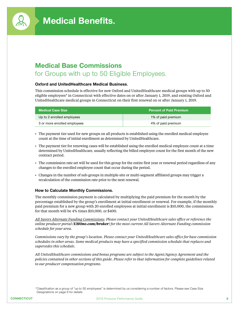

## **Medical Base Commissions**

## for Groups with up to 50 Eligible Employees.

#### **Oxford and UnitedHealthcare Medical Business.**

This commission schedule is effective for new Oxford and UnitedHealthcare medical groups with up to 50 eligible employees\* in Connecticut with effective dates on or after January 1, 2019, and existing Oxford and UnitedHealthcare medical groups in Connecticut on their first renewal on or after January 1, 2019.

| Medical Case Size            | <b>Percent of Paid Premium</b> |
|------------------------------|--------------------------------|
| Up to 2 enrolled employees   | 1% of paid premium             |
| 3 or more enrolled employees | 4% of paid premium             |

- The payment tier used for new groups on all products is established using the enrolled medical employee count at the time of initial enrollment as determined by UnitedHealthcare.
- The payment tier for renewing cases will be established using the enrolled medical employee count at a time determined by UnitedHealthcare, usually reflecting the billed employee count for the first month of the new contract period.
- The commission rate set will be used for this group for the entire first year or renewal period regardless of any changes to the enrolled employee count that occur during the period.
- Changes in the number of sub-groups in multiple-site or multi-segment affiliated groups may trigger a recalculation of the commission rate prior to the next renewal.

#### **How to Calculate Monthly Commissions.**

The monthly commission payment is calculated by multiplying the paid premium for the month by the percentage established by the group's enrollment at initial enrollment or renewal. For example, if the monthly paid premium for a new group with 20 enrolled employees at initial enrollment is \$10,000, the commissions for that month will be 4% times \$10,000, or \$400.

*All Savers Alternate Funding Commissions: Please contact your UnitedHealthcare sales office or reference the online producer portal (UHOne.com/broker) for the most current All Savers Alternate Funding commission schedule for your area.*

*Commissions vary by the group's location. Please contact your UnitedHealthcare sales office for base commission schedules in other areas. Some medical products may have a specified commission schedule that replaces and supersedes this schedule.*

*All UnitedHealthcare commissions and bonus programs are subject to the Agent/Agency Agreement and the policies contained in other sections of this guide. Please refer to that information for complete guidelines related to our producer compensation programs.* 

\*Classification as a group of "up to 50 employees" is determined by us considering a number of factors. Please see Case Size Designations on page 6 for details.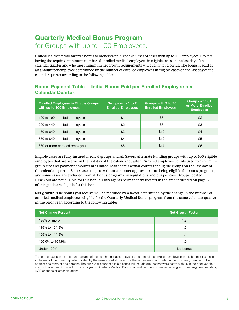## **Quarterly Medical Bonus Program**

for Groups with up to 100 Employees.

UnitedHealthcare will award a bonus to brokers with higher volumes of cases with up to 100 employees. Brokers having the required minimum number of enrolled medical employees in eligible cases on the last day of the calendar quarter and who meet minimum net growth requirements will qualify for a bonus. The bonus is paid as an amount per employee determined by the number of enrolled employees in eligible cases on the last day of the calendar quarter according to the following table:

## **Bonus Payment Table — Initial Bonus Paid per Enrolled Employee per Calendar Quarter.**

| <b>Enrolled Employees in Eligible Groups</b><br>with up to 100 Employees | Groups with 1 to 2<br><b>Enrolled Employees</b> | Groups with 3 to 50<br><b>Enrolled Employees</b> | Groups with 51<br>or More Enrolled<br><b>Employees</b> |
|--------------------------------------------------------------------------|-------------------------------------------------|--------------------------------------------------|--------------------------------------------------------|
| 100 to 199 enrolled employees                                            | \$1                                             | \$6                                              | \$2                                                    |
| 200 to 449 enrolled employees                                            | \$2                                             | \$8                                              | \$3                                                    |
| 450 to 649 enrolled employees                                            | \$3                                             | \$10                                             | \$4                                                    |
| 650 to 849 enrolled employees                                            | \$4                                             | \$12                                             | \$5                                                    |
| 850 or more enrolled employees                                           | \$5                                             | \$14                                             | \$6                                                    |

Eligible cases are fully insured medical groups and All Savers Alternate Funding groups with up to 100 eligible employees that are active on the last day of the calendar quarter. Enrolled employee counts used to determine group size and payment amounts are UnitedHealthcare's actual counts for eligible groups on the last day of the calendar quarter. Some cases require written customer approval before being eligible for bonus programs, and some cases are excluded from all bonus programs by regulations and our policies. Groups located in New York are not eligible for this bonus. Only agents permanently located in the area indicated on page 6 of this guide are eligible for this bonus.

**Net growth:** The bonus you receive will be modified by a factor determined by the change in the number of enrolled medical employees eligible for the Quarterly Medical Bonus program from the same calendar quarter in the prior year, according to the following table:

| <b>Net Change Percent</b> | <b>Net Growth Factor</b> |
|---------------------------|--------------------------|
| 125% or more              | 1.3                      |
| 115% to 124.9%            | 1.2                      |
| 105% to 114.9%            | 1.1                      |
| 100.0% to 104.9%          | 1.0                      |
| <b>Under 100%</b>         | No bonus                 |

The percentages in the left-hand column of the net change table above are the total of the enrolled employees in eligible medical cases at the end of the current quarter divided by the same count at the end of the same calendar quarter in the prior year, rounded to the nearest one-tenth of one percent. The prior year count of eligible cases will include groups that were active with us in the prior year but may not have been included in the prior year's Quarterly Medical Bonus calculation due to changes in program rules, segment transfers, AOR changes or other situations.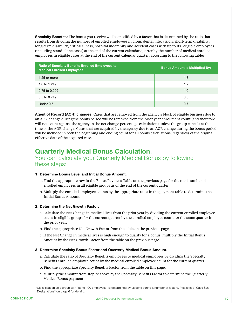**Specialty Benefits:** The bonus you receive will be modified by a factor that is determined by the ratio that results from dividing the number of enrolled employees in group dental, life, vision, short-term disability, long-term disability, critical illness, hospital indemnity and accident cases with up to 100 eligible employees (including stand-alone cases) at the end of the current calendar quarter by the number of medical enrolled employees in eligible cases at the end of the current calendar quarter, according to the following table:

| <b>Ratio of Specialty Benefits Enrolled Employees to</b><br><b>Medical Enrolled Employees</b> | <b>Bonus Amount Is Multiplied By:</b> |
|-----------------------------------------------------------------------------------------------|---------------------------------------|
| 1.25 or more                                                                                  | 1.3                                   |
| 1.0 to 1.249                                                                                  | 1.2                                   |
| 0.75 to 0.999                                                                                 | 1.0                                   |
| 0.5 to 0.749                                                                                  | 0.8                                   |
| Under 0.5                                                                                     | 0.7                                   |

**Agent of Record (AOR) changes:** Cases that are removed from the agency's block of eligible business due to an AOR change during the bonus period will be removed from the prior year enrollment count (and therefore will not count against the agency in the net change percentage calculation) unless the group cancels at the time of the AOR change. Cases that are acquired by the agency due to an AOR change during the bonus period will be included in both the beginning and ending count for all bonus calculations, regardless of the original effective date of the acquired case.

## **Quarterly Medical Bonus Calculation.**

## You can calculate your Quarterly Medical Bonus by following these steps:

#### **1. Determine Bonus Level and Initial Bonus Amount.**

- a. Find the appropriate row in the Bonus Payment Table on the previous page for the total number of enrolled employees in all eligible groups as of the end of the current quarter.
- b. Multiply the enrolled employee counts by the appropriate rates in the payment table to determine the Initial Bonus Amount.

#### **2. Determine the Net Growth Factor.**

- a. Calculate the Net Change in medical lives from the prior year by dividing the current enrolled employee count in eligible groups for the current quarter by the enrolled employee count for the same quarter in the prior year.
- b. Find the appropriate Net Growth Factor from the table on the previous page.
- c. If the Net Change in medical lives is high enough to qualify for a bonus, multiply the Initial Bonus Amount by the Net Growth Factor from the table on the previous page.
- **3. Determine Specialty Bonus Factor and Quarterly Medical Bonus Amount.**
	- a. Calculate the ratio of Specialty Benefits employees to medical employees by dividing the Specialty Benefits enrolled employee count by the medical enrolled employee count for the current quarter.
	- b. Find the appropriate Specialty Benefits Factor from the table on this page.
	- c. Multiply the amount from step 2c above by the Specialty Benefits Factor to determine the Quarterly Medical Bonus payment.

<sup>\*</sup>Classification as a group with "up to 100 employees" is determined by us considering a number of factors. Please see "Case Size Designations" on page 6 for details.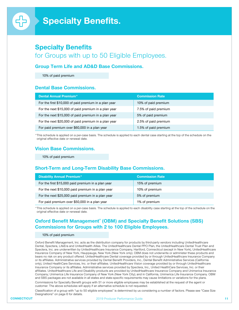## **Specialty Benefits**

## for Groups with up to 50 Eligible Employees.

#### **Group Term Life and AD&D Base Commissions.**

10% of paid premium

#### **Dental Base Commissions.**

| <b>Dental Annual Premium*</b>                         | <b>Commission Rate</b> |
|-------------------------------------------------------|------------------------|
| For the first \$10,000 of paid premium in a plan year | 10% of paid premium    |
| For the next \$15,000 of paid premium in a plan year  | 7.5% of paid premium   |
| For the next \$15,000 of paid premium in a plan year  | 5% of paid premium     |
| For the next \$20,000 of paid premium in a plan year  | 2.5% of paid premium   |
| For paid premium over \$60,000 in a plan year         | 1.5% of paid premium   |

\*This schedule is applied on a per-case basis. The schedule is applied to each dental case starting at the top of the schedule on the original effective date or renewal date.

### **Vision Base Commissions.**

10% of paid premium

## **Short-Term and Long-Term Disability Base Commissions.**

| <b>Disability Annual Premium*</b>                  | <b>Commission Rate</b> |
|----------------------------------------------------|------------------------|
| For the first \$15,000 paid premium in a plan year | 15% of premium         |
| For the next \$10,000 paid premium in a plan year  | 10% of premium         |
| For the next \$25,000 paid premium in a plan year  | 5% of premium          |
| For paid premium over \$50,000 in a plan year      | 1% of premium          |

\*This schedule is applied on a per-case basis. The schedule is applied to each disability case starting at the top of the schedule on the original effective date or renewal date.

## **Oxford Benefit Management® (OBM) and Specialty Benefit Solutions (SBS) Commissions for Groups with 2 to 100 Eligible Employees.**

#### 10% of paid premium

Oxford Benefit Management, Inc. acts as the distribution company for products by third-party vendors including UnitedHealthcare Dental, Spectera, LifeEra and UnitedHealth Allies. The UnitedHealthcare Dental PPO Plan, the UnitedHealthcare Dental Trust Plan and Spectera, Inc. are underwritten by UnitedHealthcare Insurance Company, Hartford, Connecticut (except in New York), UnitedHealthcare Insurance Company of New York, Hauppauge, New York (New York only). OBM does not underwrite or administer these products and bears no risk on any product offered. UnitedHealthcare Dental coverage provided by or through UnitedHealthcare Insurance Company or its affiliates. Administrative services provided by Dental Benefit Providers, Inc., Dental Benefit Administrative Services (California only), United HealthCare Services, Inc. or their affiliates. UnitedHealthcare Vision coverage provided by or through UnitedHealthcare Insurance Company or its affiliates. Administrative services provided by Spectera, Inc., United HealthCare Services, Inc. or their affiliates. UnitedHealthcare Life and Disability products are provided by UnitedHealthcare Insurance Company and Unimerica Insurance Company; Unimerica Life Insurance Company of New York (New York City); and in California, Unimerica Life Insurance Company. OBM and SBS packages are not available in all states and state-specific requirements may cause limitations or variations for the plans.

Commissions for Specialty Benefit groups with 51 or more eligible employees may be established at the request of the agent or customer. The above schedules will apply if an alternative schedule is not requested.

Classification of a group with "up to 50 eligible employees" is determined by us considering a number of factors. Please see "Case Size Designations" on page 6 for details.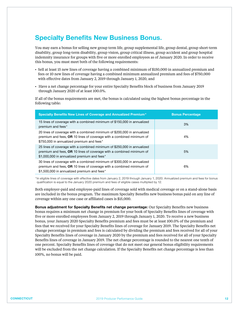## **Specialty Benefits New Business Bonus.**

You may earn a bonus for selling new group term life, group supplemental life, group dental, group short-term disability, group long-term disability, group vision, group critical illness, group accident and group hospital indemnity insurance for groups with five or more enrolled employees as of January 2020. In order to receive this bonus, you must meet both of the following requirements:

- Sell at least 15 new lines of coverage having a combined minimum of \$150,000 in annualized premium and fees or 10 new lines of coverage having a combined minimum annualized premium and fees of \$750,000 with effective dates from January 2, 2019 through January 1, 2020, and
- Have a net change percentage for your entire Specialty Benefits block of business from January 2019 through January 2020 of at least 100.0%.

If all of the bonus requirements are met, the bonus is calculated using the highest bonus percentage in the following table:

| Specialty Benefits New Lines of Coverage and Annualized Premium*                                                                                                                               | <b>Bonus Percentage</b> |
|------------------------------------------------------------------------------------------------------------------------------------------------------------------------------------------------|-------------------------|
| 15 lines of coverage with a combined minimum of \$150,000 in annualized<br>premium and fees*                                                                                                   | 3%                      |
| 20 lines of coverage with a combined minimum of \$200,000 in annualized<br>premium and fees, OR 10 lines of coverage with a combined minimum of<br>\$750,000 in annualized premium and fees*   | 4%                      |
| 25 lines of coverage with a combined minimum of \$250,000 in annualized<br>premium and fees, OR 10 lines of coverage with a combined minimum of<br>\$1,000,000 in annualized premium and fees* | 5%                      |
| 30 lines of coverage with a combined minimum of \$300,000 in annualized<br>premium and fees, OR 10 lines of coverage with a combined minimum of<br>\$1,500,000 in annualized premium and fees* | 6%                      |

\*In eligible lines of coverage with effective dates from January 2, 2019 through January 1, 2020. Annualized premium and fees for bonus qualification is equal to the January 2020 premium and fees of eligible cases multiplied by 12.

Both employer-paid and employee-paid lines of coverage sold with medical coverage or on a stand-alone basis are included in the bonus program. The maximum Specialty Benefits new business bonus paid on any line of coverage within any one case or affiliated cases is \$15,000.

**Bonus adjustment for Specialty Benefits net change percentage:** Our Specialty Benefits new business bonus requires a minimum net change in premium for your book of Specialty Benefits lines of coverage with five or more enrolled employees from January 2, 2019 through January 1, 2020. To receive a new business bonus, your January 2020 Specialty Benefits premium and fees must be at least 100.0% of the premium and fees that we received for your Specialty Benefits lines of coverage for January 2019. The Specialty Benefits net change percentage in premium and fees is calculated by dividing the premium and fees received for all of your Specialty Benefits lines of coverage in January 2020 by the premium and fees received for all of your Specialty Benefits lines of coverage in January 2019. The net change percentage is rounded to the nearest one tenth of one percent. Specialty Benefits lines of coverage that do not meet our general bonus eligibility requirements will be excluded from the net change calculation. If the Specialty Benefits net change percentage is less than 100%, no bonus will be paid.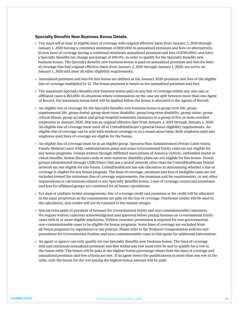#### **Specialty Benefits New Business Bonus Details.**

- You must sell at least 15 eligible lines of coverage with original effective dates from January 2, 2019 through January 1, 2020 having a combined minimum of \$150,000 in annualized premium and fees (or alternatively, 10 new lines of coverage having a combined minimum annualized premium and fees of \$750,000), and have a Specialty Benefits net change percentage of 100.0%, in order to qualify for the Specialty Benefits new business bonus. The Specialty Benefits new business bonus is paid on annualized premium and fees for lines of coverage that had original effective dates from January 2, 2019 through January 1, 2020, are active on January 1, 2020 and meet all other eligibility requirements.
- Annualized premium and fees for this bonus are defined as the January 2020 premium and fees of the eligible line of coverage multiplied by 12. The bonus payment is based on the annualized premium and fees.
- The maximum Specialty Benefits new business bonus paid on any line of coverage within any one case or affiliated cases is \$15,000. In situations where commissions on the case are split between more than one Agent of Record, the maximum bonus limit will be applied before the bonus is allocated to the Agents of Record.
- An eligible line of coverage for the Specialty Benefits new business bonus is group term life, group supplemental life, group dental, group short-term disability, group long-term disability, group vision, group critical illness, group accident and group hospital indemnity insurance in a group of five or more enrolled employees in January 2020, that has an original effective date from January 2, 2019 through January 1, 2020. An eligible line of coverage must meet all of UnitedHealthcare's general bonus eligibility requirements. An eligible line of coverage can be sold with medical coverage or on a stand-alone basis. Both employer-paid and employee-paid lines of coverage are eligible for the bonus.
- An eligible line of coverage must be in an eligible group. Spectera Plan Administrators Private Label vision, Family Medical Leave (FML) administration plans and some Governmental Entity cases are not eligible for any bonus programs. Groups written through Affiliated Associations of America (AAOA), embedded dental or vision benefits, dental discount cards or state statutory disability plans are not eligible for this bonus. Dental groups administered through UMR/Fiserv that use a dental network other than the UnitedHealthcare Dental network are not eligible for this bonus. UnitedHealthcare has sole discretion in determining whether a line of coverage is eligible for any bonus program. The lines of coverage, premium and fees of ineligible cases are not included toward the minimum line of coverage requirements, the premium and fee requirements, or any other requirements or calculations related to any Specialty Benefits bonus. Lines of coverage counts and premiums and fees for affiliated groups are combined for all bonus calculations.
- For dual or multiple broker arrangements, line of coverage credit and premium or fee credit will be allocated in the same proportion as the commissions are split on the line of coverage. Fractional credits will be used in the calculation, and credits will not be rounded to the nearest integer.
- Special rules apply to payment of bonuses for Governmental Entity and non-commissionable customers. We require written customer acknowledgment and approval before paying bonuses on Governmental Entity cases with 51 or more eligible employees. Written customer permission is required for non-governmental, non-commissionable cases to be eligible for bonus programs. Some lines of coverage are excluded from all bonus programs by regulations or our policies. Please refer to the Producer Compensation policies and procedures for Governmental Entities and non-commissionable cases in this guide for additional information.
- An agent or agency can only qualify for one Specialty Benefits new business bonus. The lines of coverage sold and minimum annualized premium and fees within any row must both be met to qualify for a row in the bonus table. The bonus will be paid at the highest bonus percentage where both the lines of coverage and annualized premium and fees criteria are met. If an agent meets the qualifications in more than one row in the table, only the bonus for the row paying the highest bonus amount will be paid.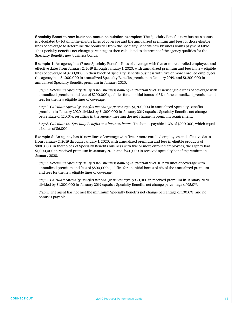**Specialty Benefits new business bonus calculation examples:** The Specialty Benefits new business bonus is calculated by totaling the eligible lines of coverage and the annualized premium and fees for those eligible lines of coverage to determine the bonus tier from the Specialty Benefits new business bonus payment table. The Specialty Benefits net change percentage is then calculated to determine if the agency qualifies for the Specialty Benefits new business bonus.

**Example 1:** An agency has 17 new Specialty Benefits lines of coverage with five or more enrolled employees and effective dates from January 2, 2019 through January 1, 2020, with annualized premium and fees in new eligible lines of coverage of \$200,000. In their block of Specialty Benefits business with five or more enrolled employees, the agency had \$1,000,000 in annualized Specialty Benefits premium in January 2019, and \$1,200,000 in annualized Specialty Benefits premium in January 2020.

 *Step 1. Determine Specialty Benefits new business bonus qualification level:* 17 new eligible lines of coverage with annualized premium and fees of \$200,000 qualifies for an initial bonus of 3% of the annualized premium and fees for the new eligible lines of coverage.

 *Step 2. Calculate Specialty Benefits net change percentage:* \$1,200,000 in annualized Specialty Benefits premium in January 2020 divided by \$1,000,000 in January 2019 equals a Specialty Benefits net change percentage of 120.0%, resulting in the agency meeting the net change in premium requirement.

 *Step 3. Calculate the Specialty Benefits new business bonus:* The bonus payable is 3% of \$200,000, which equals a bonus of \$6,000.

**Example 2:** An agency has 10 new lines of coverage with five or more enrolled employees and effective dates from January 2, 2019 through January 1, 2020, with annualized premium and fees in eligible products of \$800,000. In their block of Specialty Benefits business with five or more enrolled employees, the agency had \$1,000,000 in received premium in January 2019, and \$950,000 in received specialty benefits premium in January 2020.

*Step 1. Determine Specialty Benefits new business bonus qualification level:* 10 new lines of coverage with annualized premium and fees of \$800,000 qualifies for an initial bonus of 4% of the annualized premium and fees for the new eligible lines of coverage.

 *Step 2. Calculate Specialty Benefits net change percentage:* \$950,000 in received premium in January 2020 divided by \$1,000,000 in January 2019 equals a Specialty Benefits net change percentage of 95.0%.

 *Step 3.* The agent has not met the minimum Specialty Benefits net change percentage of 100.0%, and no bonus is payable.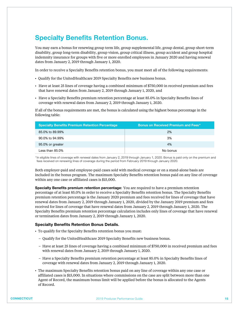## **Specialty Benefits Retention Bonus.**

You may earn a bonus for renewing group term life, group supplemental life, group dental, group short-term disability, group long-term disability, group vision, group critical illness, group accident and group hospital indemnity insurance for groups with five or more enrolled employees in January 2020 and having renewal dates from January 2, 2019 through January 1, 2020.

In order to receive a Specialty Benefits retention bonus, you must meet all of the following requirements:

- Qualify for the UnitedHealthcare 2019 Specialty Benefits new business bonus.
- Have at least 25 lines of coverage having a combined minimum of \$750,000 in received premium and fees that have renewal dates from January 2, 2019 through January 1, 2020, and
- Have a Specialty Benefits premium retention percentage at least 85.0% in Specialty Benefits lines of coverage with renewal dates from January 2, 2019 through January 1, 2020.

If all of the bonus requirements are met, the bonus is calculated using the highest bonus percentage in the following table:

| <b>Specialty Benefits Premium Retention Percentage</b> | <b>Bonus on Received Premium and Fees*</b> |
|--------------------------------------------------------|--------------------------------------------|
| 85.0% to 89.99%                                        | 2%                                         |
| 90.0% to 94.99%                                        | 3%                                         |
| 95.0% or greater                                       | 4%                                         |
| Less than $85.0\%$                                     | No bonus                                   |

\*In eligible lines of coverage with renewal dates from January 2, 2019 through January 1, 2020. Bonus is paid only on the premium and fees received on renewing lines of coverage during the period from February 2019 through January 2020.

Both employer-paid and employee-paid cases sold with medical coverage or on a stand-alone basis are included in the bonus program. The maximum Specialty Benefits retention bonus paid on any line of coverage within any one case or affiliated cases is \$15,000.

**Specialty Benefits premium retention percentage:** You are required to have a premium retention percentage of at least 85.0% in order to receive a Specialty Benefits retention bonus. The Specialty Benefits premium retention percentage is the January 2020 premium and fees received for lines of coverage that have renewal dates from January 2, 2019 through January 1, 2020, divided by the January 2019 premium and fees received for lines of coverage that have renewal dates from January 2, 2019 through January 1, 2020. The Specialty Benefits premium retention percentage calculation includes only lines of coverage that have renewal or termination dates from January 2, 2019 through January 1, 2020.

#### **Specialty Benefits Retention Bonus Details.**

• To qualify for the Specialty Benefits retention bonus you must:

- Qualify for the UnitedHealthcare 2019 Specialty Benefits new business bonus.
- Have at least 25 lines of coverage having a combined minimum of \$750,000 in received premium and fees with renewal dates from January 2, 2019 through January 1, 2020.
- Have a Specialty Benefits premium retention percentage at least 85.0% in Specialty Benefits lines of coverage with renewal dates from January 2, 2019 through January 1, 2020.
- The maximum Specialty Benefits retention bonus paid on any line of coverage within any one case or affiliated cases is \$15,000. In situations where commissions on the case are split between more than one Agent of Record, the maximum bonus limit will be applied before the bonus is allocated to the Agents of Record.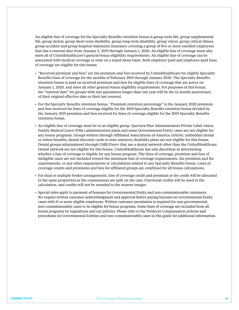An eligible line of coverage for the Specialty Benefits retention bonus is group term life, group supplemental life, group dental, group short-term disability, group long-term disability, group vision, group critical illness, group accident and group hospital indemnity insurance covering a group of five or more enrolled employees that has a renewal date from January 2, 2019 through January 1, 2020. An eligible line of coverage must also meet all of UnitedHealthcare's general bonus eligibility requirements. An eligible line of coverage can be associated with medical coverage or exist on a stand-alone basis. Both employer-paid and employee-paid lines of coverage are eligible for this bonus.

- "Received premium and fees" are the premium and fees received by UnitedHealthcare for eligible Specialty Benefits lines of coverage for the months of February 2019 through January 2020. The Specialty Benefits retention bonus is paid on received premium and fees for eligible lines of coverage that are active on January 1, 2020, and meet all other general bonus eligibility requirements. For purposes of this bonus, the "renewal date" for groups with rate guarantees longer than one year will be the 12-month anniversary of their original effective date or their last renewal.
- For the Specialty Benefits retention bonus, "Premium retention percentage" is the January 2020 premium and fees received for lines of coverage eligible for the 2019 Specialty Benefits retention bonus divided by the January 2019 premium and fees received for lines of coverage eligible for the 2019 Specialty Benefits retention bonus.
- An eligible line of coverage must be in an eligible group. Spectera Plan Administrators Private Label vision, Family Medical Leave (FML) administration plans and some Governmental Entity cases are not eligible for any bonus programs. Groups written through Affiliated Associations of America (AAOA), embedded dental or vision benefits, dental discount cards or state statutory disability plans are not eligible for this bonus. Dental groups administered through UMR/Fiserv that use a dental network other than the UnitedHealthcare Dental network are not eligible for this bonus. UnitedHealthcare has sole discretion in determining whether a line of coverage is eligible for any bonus program. The lines of coverage, premium and fees of ineligible cases are not included toward the minimum line of coverage requirements, the premium and fee requirements, or any other requirements or calculations related to any Specialty Benefits bonus. Lines of coverage counts and premiums and fees for affiliated groups are combined for all bonus calculations.
- For dual or multiple broker arrangements, line of coverage credit and premium or fee credit will be allocated in the same proportion as the commissions are split on the case. Fractional credits will be used in the calculation, and credits will not be rounded to the nearest integer.
- Special rules apply to payment of bonuses for Governmental Entity and non-commissionable customers. We require written customer acknowledgment and approval before paying bonuses on Governmental Entity cases with 51 or more eligible employees. Written customer permission is required for non-governmental, non-commissionable cases to be eligible for bonus programs. Some lines of coverage are excluded from all bonus programs by regulations and our policies. Please refer to the Producer Compensation policies and procedures for Governmental Entities and non-commissionable cases in this guide for additional information.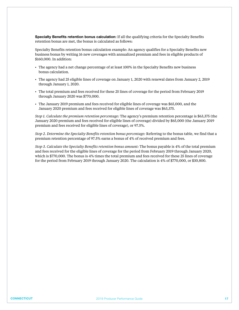**Specialty Benefits retention bonus calculation:** If all the qualifying criteria for the Specialty Benefits retention bonus are met, the bonus is calculated as follows:

Specialty Benefits retention bonus calculation example: An agency qualifies for a Specialty Benefits new business bonus by writing 16 new coverages with annualized premium and fees in eligible products of \$160,000. In addition:

- The agency had a net change percentage of at least 100% in the Specialty Benefits new business bonus calculation.
- The agency had 25 eligible lines of coverage on January 1, 2020 with renewal dates from January 2, 2019 through January 1, 2020.
- The total premium and fees received for these 25 lines of coverage for the period from February 2019 through January 2020 was \$770,000.
- The January 2019 premium and fees received for eligible lines of coverage was \$65,000, and the January 2020 premium and fees received for eligible lines of coverage was \$63,375.

*Step 1. Calculate the premium retention percentage:* The agency's premium retention percentage is \$63,375 (the January 2020 premium and fees received for eligible lines of coverage) divided by \$65,000 (the January 2019 premium and fees received for eligible lines of coverage), or 97.5%.

*Step 2. Determine the Specialty Benefits retention bonus percentage:* Referring to the bonus table, we find that a premium retention percentage of 97.5% earns a bonus of 4% of received premium and fees.

*Step 3. Calculate the Specialty Benefits retention bonus amount:* The bonus payable is 4% of the total premium and fees received for the eligible lines of coverage for the period from February 2019 through January 2020, which is \$770,000. The bonus is 4% times the total premium and fees received for these 25 lines of coverage for the period from February 2019 through January 2020. The calculation is 4% of \$770,000, or \$30,800.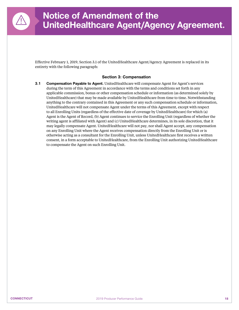

Effective February 1, 2019, Section 3.1 of the UnitedHealthcare Agent/Agency Agreement is replaced in its entirety with the following paragraph:

#### **Section 3: Compensation**

**3.1 Compensation Payable to Agent.** UnitedHealthcare will compensate Agent for Agent's services during the term of this Agreement in accordance with the terms and conditions set forth in any applicable commission, bonus or other compensation schedule or information (as determined solely by UnitedHealthcare) that may be made available by UnitedHealthcare from time to time. Notwithstanding anything to the contrary contained in this Agreement or any such compensation schedule or information, UnitedHealthcare will not compensate Agent under the terms of this Agreement, except with respect to all Enrolling Units (regardless of the effective date of coverage by UnitedHealthcare) for which (a) Agent is the Agent of Record, (b) Agent continues to service the Enrolling Unit (regardless of whether the writing agent is affiliated with Agent) and (c) UnitedHealthcare determines, in its sole discretion, that it may legally compensate Agent. UnitedHealthcare will not pay, nor shall Agent accept, any compensation on any Enrolling Unit where the Agent receives compensation directly from the Enrolling Unit or is otherwise acting as a consultant for the Enrolling Unit, unless UnitedHealthcare first receives a written consent, in a form acceptable to UnitedHealthcare, from the Enrolling Unit authorizing UnitedHealthcare to compensate the Agent on such Enrolling Unit.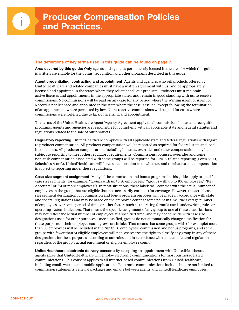#### **The definitions of key terms used in this guide can be found on page 7.**

**Area covered by this guide:** Only agents and agencies permanently located in the area for which this guide is written are eligible for the bonus, recognition and other programs described in this guide.

**Agent credentialing, contracting and appointment:** Agents and agencies who sell products offered by UnitedHealthcare and related companies must have a written agreement with us, and be appropriately licensed and appointed in the states where they solicit or sell our products. Producers must maintain active licenses and appointments in the appropriate states, and remain in good standing with us, to receive commissions. No commissions will be paid on any case for any period where the Writing Agent or Agent of Record is not licensed and appointed in the state where the case is issued, except following the termination of an appointment where permitted by law. No retroactive commissions will be paid for cases where commissions were forfeited due to lack of licensing and appointment.

The terms of the UnitedHealthcare Agent/Agency Agreement apply to all commission, bonus and recognition programs. Agents and agencies are responsible for complying with all applicable state and federal statutes and regulations related to the sale of our products.

**Regulatory reporting:** UnitedHealthcare complies with all applicable state and federal regulations with regard to producer compensation. All producer compensation will be reported as required for federal, state and local income taxes. All producer compensation, including bonuses, overrides and other compensation, may be subject to reporting to meet other regulatory requirements. Commissions, bonuses, overrides and some non-cash compensation associated with some groups will be reported for ERISA-related reporting (Form 5500, Schedules A or C). UnitedHealthcare will have sole discretion as to whether, and to what extent, compensation is subject to reporting under these regulations.

**Case size segment assignment:** Many of the commission and bonus programs in this guide apply to specific case size segments (for example, "groups with up to 50 employees," "groups with up to 100 employees," "Key Accounts" or "51 or more employees"). In most situations, these labels will coincide with the actual number of employees in the group that are eligible (but not necessarily enrolled) for coverage. However, the actual case size segment designation for commission and bonus program purposes will be made in accordance with state and federal regulations and may be based on the employee count at some point in time, the average number of employees over some period of time, or other factors such as the rating formula used, underwriting rules or operating system indicators. That means the specific assignment of any group to one of these classifications may not reflect the actual number of employees at a specified time, and may not coincide with case size designations used for other purposes. Once classified, groups do not automatically change classification for these purposes if their employee count grows or shrinks. That means that some groups with (for example) more than 50 employees will be included in the "up to 50 employees" commission and bonus programs, and some groups with fewer than 51 eligible employees will not. We reserve the right to classify any group in any of these designations for these purposes according to our rules and in accordance with state and federal regulations, regardless of the group's actual enrollment or eligible employee count.

**UnitedHealthcare electronic delivery consent:** By accepting an appointment with UnitedHealthcare, agents agree that UnitedHealthcare will employ electronic communications for most business-related communications. This consent applies to all Internet-based communications from UnitedHealthcare, including email, website and mobile applications. Electronic communications include, but are not limited to, commission statements, renewal packages and emails between agents and UnitedHealthcare employees.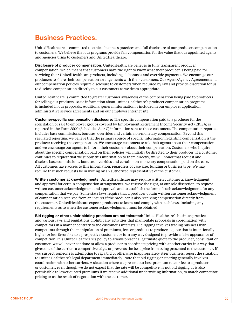## **Business Practices.**

UnitedHealthcare is committed to ethical business practices and full disclosure of our producer compensation to customers. We believe that our programs provide fair compensation for the value that our appointed agents and agencies bring to customers and UnitedHealthcare.

**Disclosure of producer compensation:** UnitedHealthcare believes in fully transparent producer compensation, which means that customers have the right to know what their producer is being paid for servicing their UnitedHealthcare products, including all bonuses and override payments. We encourage our producers to share their compensation arrangements with their customers. Our Agent/Agency Agreement and our compensation policies require disclosure to customers when required by law and provide discretion for us to disclose compensation directly to our customers as we deem appropriate.

UnitedHealthcare is committed to greater customer awareness of the compensation being paid to producers for selling our products. Basic information about UnitedHealthcare's producer compensation programs is included in our proposals. Additional general information is included in our employer application, administrative service agreements and on our employer Internet site.

**Customer-specific compensation disclosure:** The specific compensation paid to a producer for the solicitation or sale to employer groups covered by Employment Retirement Income Security Act (ERISA) is reported in the Form 5500 (Schedules A or C) information sent to those customers. The compensation reported includes base commissions, bonuses, overrides and certain non-monetary compensation. Beyond this regulated reporting, we believe that the primary source of specific information regarding compensation is the producer receiving the compensation. We encourage customers to ask their agents about their compensation and we encourage our agents to inform their customers about their compensation. Customers who inquire about the specific compensation paid on their policies will initially be directed to their producer. If a customer continues to request that we supply this information to them directly, we will honor that request and disclose base commissions, bonuses, overrides and certain non-monetary compensation paid on the case. All customers have access to this information, regardless of case size, funding or business type. We may require that such requests be in writing by an authorized representative of the customer.

**Written customer acknowledgments:** UnitedHealthcare may require written customer acknowledgment and approval for certain compensation arrangements. We reserve the right, at our sole discretion, to request written customer acknowledgment and approval, and to establish the form of such acknowledgment, for any compensation that we pay. Some state laws require that a producer obtain written customer acknowledgment of compensation received from an insurer if the producer is also receiving compensation directly from the customer. UnitedHealthcare expects producers to know and comply with such laws, including any requirements as to when the customer acknowledgment must be obtained.

**Bid rigging or other unfair bidding practices are not tolerated:** UnitedHealthcare's business practices and various laws and regulations prohibit any activities that manipulate proposals in coordination with competitors in a manner contrary to the customer's interests. Bid rigging involves trading business with competitors through the manipulation of premiums, fees or products to produce a quote that is intentionally higher or less favorable to a prospective customer, or is in any way designed to provide a false appearance of competition. It is UnitedHealthcare's policy to always present a legitimate quote to the producer, consultant or customer. We will never condone or allow a producer to coordinate pricing with another carrier in a way that gives one of the carriers a competitive edge, or prevents the best price from being presented to the customer. If you suspect someone is attempting to rig a bid or otherwise inappropriately steer business, report the situation to UnitedHealthcare's legal department immediately. Note that bid rigging or steering generally involves coordination with other carriers. A situation where we present our best premium rate or fee to a producer or customer, even though we do not expect that the rate will be competitive, is not bid rigging. It is also permissible to lower quoted premiums if we receive additional underwriting information, to match competitor pricing or as the result of negotiation with the customer.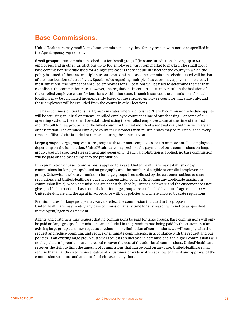## **Base Commissions.**

UnitedHealthcare may modify any base commission at any time for any reason with notice as specified in the Agent/Agency Agreement.

**Small groups:** Base commission schedules for "small groups" (in some jurisdictions having up to 50 employees, and in other jurisdictions up to 100 employees) vary from market to market. The small group base commission schedule used for a single site case is the schedule in effect for the county in which the policy is issued. If there are multiple sites associated with a case, the commission schedule used will be that of the base location selected by us. Special rules regarding multiple sites cases may apply in some areas. In most situations, the number of enrolled employees for all locations will be used to determine the tier that establishes the commission rate. However, the regulations in certain states may result in the isolation of the enrolled employee count for locations within that state. In such instances, the commissions for such locations may be calculated independently based on the enrolled employee count for that state only, and these employees will be excluded from the counts in other locations.

The base commission tier for small groups in states where a published "tiered" commission schedule applies will be set using an initial or renewal enrolled employee count at a time of our choosing. For some of our operating systems, the tier will be established using the enrolled employee count at the time of the first month's bill for new groups, and the billed count for the first month of a renewal year, but this will vary at our discretion. The enrolled employee count for customers with multiple sites may be re-established every time an affiliated site is added or removed during the contract year.

**Large groups:** Large group cases are groups with 51 or more employees, or 101 or more enrolled employees, depending on the jurisdiction. UnitedHealthcare may prohibit the payment of base commissions on large group cases in a specified size segment and geography. If such a prohibition is applied, no base commission will be paid on the cases subject to the prohibition.

If no prohibition of base commissions is applied to a case, UnitedHealthcare may establish or cap commissions for large groups based on geography and the number of eligible or enrolled employees in a group. Otherwise, the base commission for large groups is established by the customer, subject to state regulations and UnitedHealthcare's agent compensation policies (including any applicable maximum commission limit). When commissions are not established by UnitedHealthcare and the customer does not give specific instructions, base commissions for large groups are established by mutual agreement between UnitedHealthcare and the agent in accordance with our policies and where allowed by state regulations.

Premium rates for large groups may vary to reflect the commission included in the proposal. UnitedHealthcare may modify any base commission at any time for any reason with notice as specified in the Agent/Agency Agreement.

Agents and customers may request that no commissions be paid for large groups. Base commissions will only be paid on large groups if commissions are included in the premium rate being paid by the customer. If an existing large group customer requests a reduction or elimination of commissions, we will comply with the request and reduce premium, and reduce or eliminate commissions, in accordance with the request and our policies. If an existing large group customer requests an increase in commissions, the higher commissions will not be paid until premiums are increased to cover the cost of the additional commissions. UnitedHealthcare reserves the right to limit the amount of commissions that can be paid on any case. UnitedHealthcare may require that an authorized representative of a customer provide written acknowledgment and approval of the commission structure and amount for their case at any time.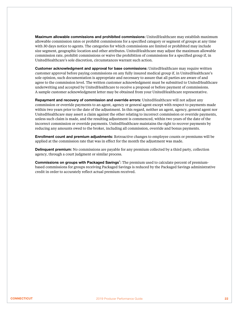**Maximum allowable commissions and prohibited commissions:** UnitedHealthcare may establish maximum allowable commission rates or prohibit commissions for a specified category or segment of groups at any time with 30 days notice to agents. The categories for which commissions are limited or prohibited may include size segment, geographic location and other attributes. UnitedHealthcare may adjust the maximum allowable commission rate, prohibit commissions or waive the prohibition of commissions for a specified group if, in UnitedHealthcare's sole discretion, circumstances warrant such action.

**Customer acknowledgment and approval for base commissions:** UnitedHealthcare may require written customer approval before paying commissions on any fully insured medical group if, in UnitedHealthcare's sole opinion, such documentation is appropriate and necessary to assure that all parties are aware of and agree to the commission level. The written customer acknowledgment must be submitted to UnitedHealthcare underwriting and accepted by UnitedHealthcare to receive a proposal or before payment of commissions. A sample customer acknowledgment letter may be obtained from your UnitedHealthcare representative.

**Repayment and recovery of commission and override errors:** UnitedHealthcare will not adjust any commission or override payments to an agent, agency or general agent except with respect to payments made within two years prior to the date of the adjustment. In this regard, neither an agent, agency, general agent nor UnitedHealthcare may assert a claim against the other relating to incorrect commission or override payments, unless such claim is made, and the resulting adjustment is commenced, within two years of the date of the incorrect commission or override payments. UnitedHealthcare maintains the right to recover payments by reducing any amounts owed to the broker, including all commission, override and bonus payments.

**Enrollment count and premium adjustments:** Retroactive changes to employee counts or premiums will be applied at the commission rate that was in effect for the month the adjustment was made.

**Delinquent premium:** No commissions are payable for any premium collected by a third party, collection agency, through a court judgment or similar process.

**Commissions on groups with Packaged Savings<sup>®</sup>:** The premium used to calculate percent of premiumbased commissions for groups receiving Packaged Savings is reduced by the Packaged Savings administrative credit in order to accurately reflect actual premium received.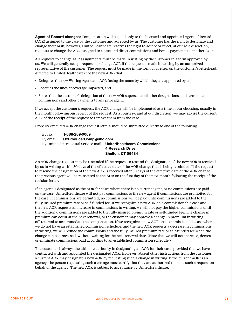**Agent of Record changes:** Compensation will be paid only to the licensed and appointed Agent of Record (AOR) assigned to the case by the customer and accepted by us. The customer has the right to designate and change their AOR; however, UnitedHealthcare reserves the right to accept or reject, at our sole discretion, requests to change the AOR assigned to a case and direct commissions and bonus payments to another AOR.

All requests to change AOR assignments must be made in writing by the customer in a form approved by us. We will generally accept requests to change AOR if the request is made in writing by an authorized representative of the customer. The request must be made in the form of a letter, on the customer's letterhead, directed to UnitedHealthcare (not the new AOR) that:

- Delegates the new Writing Agent and AOR (using the name by which they are appointed by us),
- Specifies the lines of coverage impacted, and
- States that the customer's delegation of the new AOR supersedes all other designations, and terminates commissions and other payments to any prior agent.

If we accept the customer's request, the AOR change will be implemented at a time of our choosing, usually in the month following our receipt of the request. As a courtesy, and at our discretion, we may advise the current AOR of the receipt of the request to remove them from the case.

Properly executed AOR change request letters should be submitted directly to one of the following:

 By fax: **1-888-289-0069** By email: **OxProducerComp@uhc.com** By United States Postal Service mail: **UnitedHealthcare Commissions 4 Research Drive Shelton, CT 06484**

An AOR change request may be rescinded if the request to rescind the designation of the new AOR is received by us in writing within 30 days of the effective date of the AOR change that is being rescinded. If the request to rescind the designation of the new AOR is received after 30 days of the effective date of the AOR change, the previous agent will be reinstated as the AOR on the first day of the next month following the receipt of the recision letter.

If an agent is designated as the AOR for cases where there is no current agent, or no commissions are paid on the case, UnitedHealthcare will not pay commissions to the new agent if commissions are prohibited for the case. If commissions are permitted, no commissions will be paid until commissions are added to the fully insured premium rate or self-funded fee. If we recognize a new AOR on a commissionable case and the new AOR requests an increase in commissions in writing, we will not pay the higher commissions until the additional commissions are added to the fully insured premium rate or self-funded fee. The change in premium can occur at the next renewal, or the customer may approve a change in premium in writing off-renewal to accommodate the compensation. If we recognize a new AOR on a commissionable case where we do not have an established commission schedule, and the new AOR requests a decrease in commissions in writing, we will reduce the commissions and the fully insured premium rate or self-funded fee when the change can be processed, without waiting for the next renewal date. (Note that we will not increase, decrease or eliminate commissions paid according to an established commission schedule.)

The customer is always the ultimate authority in designating an AOR for their case, provided that we have contracted with and appointed the designated AOR. However, absent other instructions from the customer, a current AOR may designate a new AOR by requesting such a change in writing. If the current AOR is an agency, the person requesting such a change must certify that they are authorized to make such a request on behalf of the agency. The new AOR is subject to acceptance by UnitedHealthcare.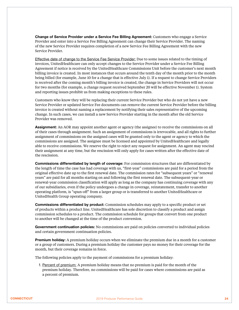**Change of Service Provider under a Service Fee Billing Agreement:** Customers who engage a Service Provider and enter into a Service Fee Billing Agreement can change their Service Provider. The naming of the new Service Provider requires completion of a new Service Fee Billing Agreement with the new Service Provider.

Effective date of change to the Service Fee Service Provider: Due to some issues related to the timing of invoices, UnitedHealthcare can only accept changes to the Service Provider under a Service Fee Billing Agreement if notice is received by the UnitedHealthcare Commissions Unit before the customer's next month billing invoice is created. In most instances that occurs around the tenth day of the month prior to the month being billed (for example, June 10 for a change that is effective July 1). If a request to change Service Providers is received after the coming month's billing invoice is created, the change in Service Providers will not occur for two months (for example, a change request received September 20 will be effective November 1). System and reporting issues prohibit us from making exceptions to these rules.

Customers who know they will be replacing their current Service Provider but who do not yet have a new Service Provider or updated Service Fee documents can remove the current Service Provider before the billing invoice is created without naming a replacement by notifying their sales representative of the upcoming change. In such cases, we can install a new Service Provider starting in the month after the old Service Provider was removed.

**Assignment:** An AOR may appoint another agent or agency (the assignee) to receive the commissions on all of their cases through assignment. Such an assignment of commissions is irrevocable, and all rights to further assignment of commissions on the assigned cases will be granted only to the agent or agency to which the commissions are assigned. The assignee must be licensed and appointed by UnitedHealthcare and legally able to receive commissions. We reserve the right to reject any request for assignment. An agent may rescind their assignment at any time, but the rescission will only apply for cases written after the effective date of the rescission.

**Commissions differentiated by length of coverage:** For commission structures that are differentiated by the length of time the case has had coverage with us, "first-year" commissions are paid for a period from the original effective date up to the first renewal date. The commission rates for "subsequent years" or "renewal years" are paid for all months starting on and following the first renewal date. The subsequent-year or renewal-year commission classification will apply as long as the company has continuing coverage with any of our subsidiaries, even if the policy undergoes a change in coverage, reinstatement, transfer to another operating platform, is "spun-off" from a larger group or is transferred to another UnitedHealthcare or UnitedHealth Group operating company.

**Commissions differentiated by product:** Commission schedules may apply to a specific product or set of products within a product line. UnitedHealthcare has sole discretion to classify a product and assign commission schedules to a product. The commission schedule for groups that convert from one product to another will be changed at the time of the product conversion.

**Government continuation policies:** No commissions are paid on policies converted to individual policies and certain government continuation policies.

**Premium holiday:** A premium holiday occurs when we eliminate the premium due in a month for a customer or a group of customers. During a premium holiday the customer pays no money for their coverage for the month, but their coverage remains in force.

The following policies apply to the payment of commissions for a premium holiday:

 1. Percent of premium: A premium holiday means that no premium is paid for the month of the premium holiday. Therefore, no commissions will be paid for cases where commissions are paid as a percent of premium.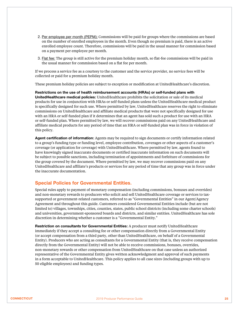- 2. Per employee per month (PEPM): Commissions will be paid for groups where the commissions are based on the number of enrolled employees in the month. Even though no premium is paid, there is an active enrolled employee count. Therefore, commissions will be paid in the usual manner for commission based on a payment per employee per month.
- 3. Flat fee: The group is still active for the premium holiday month, so flat-fee commissions will be paid in the usual manner for commission based on a flat fee per month.

If we process a service fee as a courtesy to the customer and the service provider, no service fees will be collected or paid for a premium holiday month.

These premium holiday policies are subject to exception or modification at UnitedHealthcare's discretion.

**Restrictions on the use of health reimbursement accounts (HRAs) or self-funded plans with UnitedHealthcare medical policies:** UnitedHealthcare prohibits the solicitation or sale of its medical products for use in conjunction with HRAs or self-funded plans unless the UnitedHealthcare medical product is specifically designed for such use. Where permitted by law, UnitedHealthcare reserves the right to eliminate commissions on UnitedHealthcare and affiliate medical products that were not specifically designed for use with an HRA or self-funded plan if it determines that an agent has sold such a product for use with an HRA or self-funded plan. Where permitted by law, we will recover commissions paid on any UnitedHealthcare and affiliate medical products for any period of time that an HRA or self-funded plan was in force in violation of this policy.

**Agent certification of information:** Agents may be required to sign documents or certify information related to a group's funding type or funding level, employee contribution, coverages or other aspects of a customer's coverage (or application for coverage) with UnitedHealthcare. Where permitted by law, agents found to have knowingly signed inaccurate documents or certified inaccurate information on such documents will be subject to possible sanctions, including termination of appointments and forfeiture of commissions for the group covered by the document. Where permitted by law, we may recover commissions paid on any UnitedHealthcare and affiliate's products or services for any period of time that any group was in force under the inaccurate documentation.

### **Special Policies for Governmental Entities.**

Special rules apply to payment of monetary compensation (including commissions, bonuses and overrides) and non-monetary rewards to producers who solicit and sell UnitedHealthcare coverage or services to taxsupported or government-related customers, referred to as "Governmental Entities" in our Agent/Agency Agreement and throughout this guide. Customers considered Governmental Entities include (but are not limited to) villages, townships, cities, counties, states, public school districts (including some charter schools) and universities, government-sponsored boards and districts, and similar entities. UnitedHealthcare has sole discretion in determining whether a customer is a "Governmental Entity."

**Restriction on consultants for Governmental Entities:** A producer must notify UnitedHealthcare immediately if they accept a consulting fee or other compensation directly from a Governmental Entity (or accept compensation from a third party, other than UnitedHealthcare, on behalf of a Governmental Entity). Producers who are acting as consultants for a Governmental Entity (that is, they receive compensation directly from the Governmental Entity) will not be able to receive commissions, bonuses, overrides, non-monetary rewards or other compensation from UnitedHealthcare on that case unless an authorized representative of the Governmental Entity gives written acknowledgment and approval of such payments in a form acceptable to UnitedHealthcare. This policy applies to all case sizes (including groups with up to 50 eligible employees) and funding types.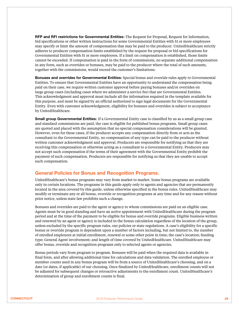**RFP and RFI restrictions for Governmental Entities:** The Request for Proposal, Request for Information, bid specifications or other written instructions for some Governmental Entities with 51 or more employees may specify or limit the amount of compensation that may be paid to the producer. UnitedHealthcare strictly adheres to producer compensation limits established by the request for proposal or bid specifications for Governmental Entities with 51 or more employees. If a limit on compensation is established, those limits cannot be exceeded. If compensation is paid in the form of commissions, no separate additional compensation in any form, such as overrides or bonuses, may be paid to the producer where the total of such amounts, together with the commissions, would exceed the customer's limitations.

**Bonuses and overrides for Governmental Entities:** Special bonus and override rules apply to Governmental Entities. To ensure that Governmental Entities have an opportunity to understand the compensation being paid on their case, we require written customer approval before paying bonuses and/or overrides on large group cases (including cases where we administer a service fee) that are Governmental Entities. This acknowledgment and approval must include all the information required in the template available for this purpose, and must be signed by an official authorized to sign legal documents for the Governmental Entity. Even with customer acknowledgment, eligibility for bonuses and overrides is subject to acceptance by UnitedHealthcare.

**Small group Governmental Entities:** If a Governmental Entity case is classified by us as a small group case and standard commissions are paid, the case is eligible for published bonus programs. Small group cases are quoted and placed with the assumption that no special compensation considerations will be granted. However, even for these cases, if the producer accepts any compensation directly from or acts as the consultant to the Governmental Entity, no compensation of any type can be paid to the producer without written customer acknowledgment and approval. Producers are responsible for notifying us that they are receiving this compensation or otherwise acting as a consultant to a Governmental Entity. Producers may not accept such compensation if the terms of their agreement with the Governmental Entity prohibit the payment of such compensation. Producers are responsible for notifying us that they are unable to accept such compensation.

### **General Policies for Bonus and Recognition Programs.**

UnitedHealthcare's bonus programs may vary from market to market. Some bonus programs are available only in certain locations. The programs in this guide apply only to agents and agencies that are permanently located in the area covered by this guide, unless otherwise specified in the bonus rules. UnitedHealthcare may modify or terminate any or all bonus, override or recognition programs at any time and for any reason without prior notice, unless state law prohibits such a change.

Bonuses and overrides are paid to the agent or agency to whom commissions are paid on an eligible case. Agents must be in good standing and have an active appointment with UnitedHealthcare during the program period and at the time of the payment to be eligible for bonus and override programs. Eligible business written and renewed by an agent or agency is included in the bonus calculation regardless of the location of the group, unless excluded by the specific program rules, our policies or state regulations. A case's eligibility for a specific bonus or override program is dependent upon a number of factors including, but not limited to, the number of enrolled employees at initial enrollment, renewal or some other point in time; the case's location; funding type; General Agent involvement; and length of time covered by UnitedHealthcare. UnitedHealthcare may offer bonus, override and recognition programs only to selected agents or agencies.

Bonus periods vary from program to program. Bonuses will be paid when the required data is available in final form, and after allowing additional time for calculations and data validation. The enrolled employee or member counts used in any bonus program will be from a source of UnitedHealthcare's choosing, and on a date (or dates, if applicable) of our choosing. Once finalized by UnitedHealthcare, enrollment counts will not be adjusted for subsequent changes or retroactive adjustments to the enrollment count. UnitedHealthcare's determination of group and enrollment counts is final.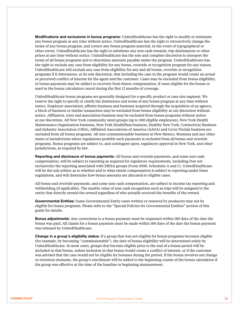**Modifications and exclusions in bonus programs:** UnitedHealthcare has the right to modify or terminate any bonus program at any time without notice. UnitedHealthcare has the right to retroactively change the terms of any bonus program, and correct any bonus program material, in the event of typographical or other errors. UnitedHealthcare has the right to substitute any non-cash rewards, trip destinations or other prizes at any time without notice. UnitedHealthcare has the sole and complete discretion to interpret the terms of all bonus programs and to determine amounts payable under the program. UnitedHealthcare has the right to exclude any case from eligibility for any bonus, override or recognition program for any reason. UnitedHealthcare will exclude any case from eligibility for any and all bonus, override or recognition programs if it determines, at its sole discretion, that including the case in the program would create an actual or perceived conflict of interest for the agent and the customer. Cases may be excluded from bonus eligibility, or bonus payments may be subject to recovery from future compensation, if cases eligible for the bonus or used in the bonus calculation cancel during the first 12 months of coverage.

UnitedHealthcare bonus programs are generally designed for a specific product or case size segment. We reserve the right to specify or clarify the limitations and terms of any bonus program at any time without notice. Employer association, affinity business and business acquired through the acquisition of an agency, a block of business or similar transaction may be excluded from bonus eligibility at our discretion without notice. Affiliation, trust and association business may be excluded from bonus programs without notice at our discretion. All New York community rated groups (up to 100 eligible employees), New York Health Maintenance Organization business, New York HealthPass business, Healthy New York, Connecticut Business and Industry Association (CBIA), Affiliated Associations of America (AAOA) and Cover Florida business are excluded from all bonus programs. All non-commissionable business in New Mexico, Montana and any other states or jurisdictions where regulations prohibit such payments is excluded from all bonus and override programs. Bonus programs are subject to, and contingent upon, regulatory approval in New York, and other jurisdictions, as required by law.

**Reporting and disclosure of bonus payments:** All bonus and override payments, and some non-cash compensation, will be subject to reporting as required for regulatory requirements, including (but not exclusively) the reporting associated with ERISA groups (Form 5500, Schedules A and C). UnitedHealthcare will be the sole arbiter as to whether and to what extent compensation is subject to reporting under these regulations, and will determine how bonus amounts are allocated to eligible cases.

All bonus and override payments, and some non-cash compensation, are subject to income tax reporting and withholding (if applicable). The taxable value of non-cash recognition such as trips will be assigned to the entity that directly earned the reward regardless of who actually received the benefits of the reward.

**Governmental Entities:** Some Governmental Entity cases written or renewed by producers may not be eligible for bonus programs. Please refer to the "Special Policies for Governmental Entities" section of this guide for details.

**Bonus adjustments:** Any corrections to a bonus payment must be requested within 180 days of the date the bonus was paid. All claims for a bonus payment must be made within 180 days of the date the bonus payment was released by UnitedHealthcare.

**Change in a group's eligibility status:** If a group that was not eligible for bonus programs becomes eligible (for example, by becoming "commissionable"), the date of bonus eligibility will be determined solely by UnitedHealthcare. In most cases, groups that become eligible prior to the end of a bonus period will be included in that bonus, unless inclusion in that bonus would create a conflict of interest, or if the customer was advised that the case would not be eligible for bonuses during the period. If the bonus involves net change or retention elements, the group's enrollment will be added to the beginning counts of the bonus calculation if the group was effective at the time of the baseline or beginning measurement.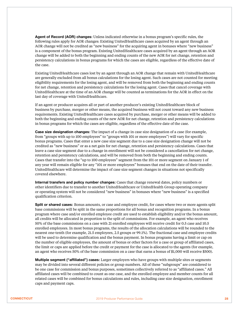**Agent of Record (AOR) changes:** Unless indicated otherwise in a bonus program's specific rules, the following rules apply for AOR changes: Existing UnitedHealthcare cases acquired by an agent through an AOR change will not be credited as "new business" for the acquiring agent in bonuses where "new business" is a component of the bonus program. Existing UnitedHealthcare cases acquired by an agent through an AOR change will be added to both the beginning and ending counts of the new AOR for net change, retention and persistency calculations in bonus programs for which the cases are eligible, regardless of the effective date of the case.

Existing UnitedHealthcare cases lost by an agent through an AOR change that remain with UnitedHealthcare are generally excluded from all bonus calculations for the losing agent. Such cases are not counted for meeting eligibility requirements for the losing agent, and will be removed from both the beginning and ending counts for net change, retention and persistency calculations for the losing agent. Cases that cancel coverage with UnitedHealthcare at the time of an AOR change will be counted as terminations for the AOR in effect on the last day of coverage with UnitedHealthcare.

If an agent or producer acquires all or part of another producer's existing UnitedHealthcare block of business by purchase, merger or other means, the acquired business will not count toward any new business requirements. Existing UnitedHealthcare cases acquired by purchase, merger or other means will be added to both the beginning and ending counts of the new AOR for net change, retention and persistency calculations in bonus programs for which the cases are eligible, regardless of the effective date of the case.

**Case size designation changes:** The impact of a change in case size designation of a case (for example, from "groups with up to 100 employees" to "groups with 101 or more employees") will vary for specific bonus programs. Cases that enter a new case size segment due to a case size designation change will not be credited as "new business" or as a net gain for net change, retention and persistency calculations. Cases that leave a case size segment due to a change in enrollment will not be considered a cancellation for net change, retention and persistency calculations, and will be removed from both the beginning and ending counts. Cases that transfer into the "up to 100 employees" segment from the 101 or more segment on January 1 of any year will remain eligible for any "101 or more employees" bonuses that end on the date of their transfer. UnitedHealthcare will determine the impact of case size segment changes in situations not specifically covered elsewhere.

**Internal transfers and policy number changes:** Cases that change renewal dates, policy numbers or other identifiers due to transfer to another UnitedHealthcare or UnitedHealth Group operating company or operating system will not be considered "new business" in bonuses where "new business" is a specified qualification criterion.

**Split or shared cases:** Bonus amounts, or case and employee credit, for cases where two or more agents split base commissions will be split in the same proportions for all bonus and recognition programs. In a bonus program where case and/or enrolled employee credit are used to establish eligibility and/or the bonus amount, all credits will be allocated in proportion to the split of commissions. For example, an agent who receives 50% of the base commissions on a case with 21 enrolled employees will receive credit for 0.5 case and 10.5 enrolled employees. In most bonus programs, the results of the allocation calculations will be rounded to the nearest one-tenth (for example, 21.5 employees, 2.5 groups or 99.1%). The fractional case and employee credits will be used to determine qualification and the bonus payment. In bonus programs having a limit or cap on the number of eligible employees, the amount of bonus or other factors for a case or group of affiliated cases, the limit or caps are applied before the credit or payment for the case is allocated to the agents (for example, an agent who receives 50% of the base commission on a case that earns a bonus of \$1,000 will receive \$500).

**Multiple segment ("affiliated") cases:** Larger employers who have groups with multiple sites or segments may be divided into several different policies or group numbers. All of these "subgroups" are considered to be one case for commission and bonus purposes, sometimes collectively referred to as "affiliated cases." All affiliated cases will be combined to count as one case, and the enrolled employee and member counts for all related cases will be combined for bonus calculations and rules, including case size designation, enrollment caps and payment caps.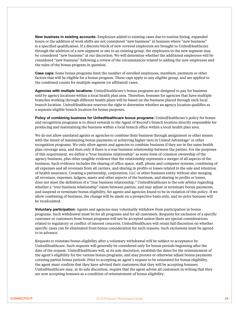**New business in existing accounts:** Employees added to existing cases due to routine hiring, expanded hours or the addition of work shifts are not considered "new business" in bonuses where "new business" is a specified qualification. If a discrete block of new covered employees are brought to UnitedHealthcare through the addition of a new segment or site to an existing group, the employees in the new segment may be considered "new business" at our discretion. We will determine whether the additional employees will be considered "new business" following a review of the circumstances related to adding the new employees and the rules of the bonus program in question.

**Case caps:** Some bonus programs limit the number of enrolled employees, members, premium or other factors that will be eligible for a bonus program. These caps apply to any eligible group, and are applied to the combined counts for multiple segment (or affiliated) cases.

**Agencies with multiple locations:** UnitedHealthcare's bonus programs are designed to pay for business sold by agency locations within a local health plan area. Therefore, bonuses for agencies that have multiple branches working through different health plans will be based on the business placed through each local branch location. UnitedHealthcare reserves the right to determine whether an agency location qualifies as a separate eligible branch location for bonus purposes.

**Policy of combining business for UnitedHealthcare bonus programs:** UnitedHealthcare's policy for bonus and recognition programs is to direct rewards to the Agent of Record's branch location directly responsible for producing and maintaining the business within a local branch office within a local health plan area.

We do not allow unrelated agents or agencies to combine their business through assignment or other means with the intent of maximizing bonus payments or achieving higher tiers in United Advantage® or other recognition programs. We only allow agents and agencies to combine business if they are in the same health plan coverage area, and then only if there is a true business relationship between the parties. For the purposes of this requirement, we define a "true business relationship" as some form of common ownership of the agency business, plus other tangible evidence that the relationship represents a merger of all aspects of the business. Such evidence includes the sharing of office space, staff, phone and computer systems, combining of all expenses and all revenues from all carriers, and sharing in profits or losses related to the sale and retention of health insurance. Creating a partnership, corporation, LLC or other business entity without also merging all revenues, expenses, ledgers, assets and other aspects of the business, and sharing in profits or losses, does not meet the definition of a "true business relationship." UnitedHealthcare is the sole arbiter regarding whether a "true business relationship" exists between parties, and may adjust or terminate bonus payments, and suspend or terminate bonus eligibility, for agents and agencies found to be in violation of this policy. If we allow combining of business, the change will be made on a prospective basis only, and no prior bonuses will be recalculated.

**Voluntary participation:** Agents and agencies may voluntarily withdraw from participation in bonus programs. Such withdrawal must be for all programs and for all customers. Requests for exclusion of a specific customer or customers from bonus programs will not be accepted unless there are special considerations related to regulatory or conflict of interest concerns. UnitedHealthcare will retain full discretion on whether specific cases can be eliminated from bonus consideration for such reasons. Such exclusions must be agreed to in advance.

Requests to reinstate bonus eligibility after a voluntary withdrawal will be subject to acceptance by UnitedHealthcare. Such requests will generally be considered only for bonus periods beginning after the date of the request. UnitedHealthcare will, at its sole discretion, establish the dates for the reinstatement of the agent's eligibility for the various bonus programs, and may prorate or otherwise adjust bonus payments covering partial bonus periods. Prior to accepting an agent's request to be reinstated for bonus eligibility, the agent must confirm that they have advised their customers that they will be accepting bonuses. UnitedHealthcare may, at its sole discretion, require that the agent advise all customers in writing that they are now accepting bonuses as a condition of reinstatement of bonus eligibility.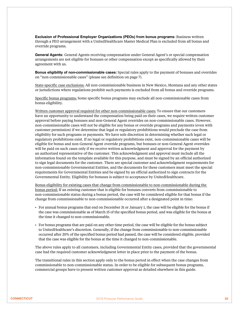**Exclusion of Professional Employer Organizations (PEOs) from bonus programs:** Business written through a PEO arrangement with a UnitedHealthcare Master Medical Plan is excluded from all bonus and override programs.

**General Agents:** General Agents receiving compensation under General Agent's or special compensation arrangements are not eligible for bonuses or other compensation except as specifically allowed by their agreement with us.

**Bonus eligibility of non-commissionable cases:** Special rules apply to the payment of bonuses and overrides on "non-commissionable cases" (please see definition on page 7).

State-specific case exclusions: All non-commissionable business in New Mexico, Montana and any other states or jurisdictions where regulations prohibit such payments is excluded from all bonus and override programs.

Specific bonus programs: Some specific bonus programs may exclude all non-commissionable cases from bonus eligibility.

Written customer approval required for other non-commissionable cases: To ensure that our customers have an opportunity to understand the compensation being paid on their cases, we require written customer approval before paying bonuses and non-General Agent overrides on non-commissionable cases. However, non-commissionable cases will not be eligible for any bonus or override programs and payments (even with customer permission) if we determine that legal or regulatory prohibitions would preclude the case from eligibility for such programs or payments. We have sole discretion in determining whether such legal or regulatory prohibitions exist. If no legal or regulatory prohibitions exist, non-commissionable cases will be eligible for bonus and non-General Agent override programs, but bonuses or non-General Agent overrides will be paid on such cases only if we receive written acknowledgment and approval for the payment by an authorized representative of the customer. This acknowledgment and approval must include all the information found on the template available for this purpose, and must be signed by an official authorized to sign legal documents for the customer. There are special customer and acknowledgment requirements for non-commissionable Governmental Entities, and the documents for these customers must meet the special requirements for Governmental Entities and be signed by an official authorized to sign contracts for the Governmental Entity. Eligibility for bonuses is subject to acceptance by UnitedHealthcare.

Bonus eligibility for existing cases that change from commissionable to non-commissionable during the bonus period: If an existing customer that is eligible for bonuses converts from commissionable to non-commissionable status during a bonus period, the case will be considered eligible for that bonus if the change from commissionable to non-commissionable occurred after a designated point in time:

- For annual bonus programs that end on December 31 or January 1, the case will be eligible for the bonus if the case was commissionable as of March 15 of the specified bonus period, and was eligible for the bonus at the time it changed to non-commissionable.
- For bonus programs that are paid on any other time period, the case will be eligible for the bonus subject to UnitedHealthcare's discretion. Generally, if the change from commissionable to non-commissionable occurred after 20% of the specified bonus period had passed, the case will be considered eligible, provided that the case was eligible for the bonus at the time it changed to non-commissionable.

The above rules apply to all customers, including Governmental Entity cases, provided that the governmental case had the required customer acknowledgment letter in place prior to the payment of the bonus.

The transitional rules in this section apply only to the bonus period in effect when the case changes from commissionable to non-commissionable status. In order to be eligible for subsequent bonus programs, commercial groups have to present written customer approval as detailed elsewhere in this guide.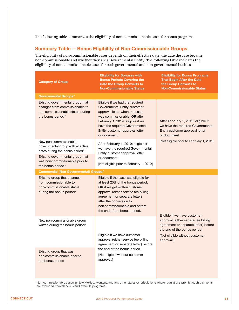The following table summarizes the eligibility of non-commissionable cases for bonus programs:

## **Summary Table — Bonus Eligibility of Non-Commissionable Groups.**

The eligibility of non-commissionable cases depends on their effective date, the date the case became non-commissionable and whether they are a Governmental Entity. The following table indicates the eligibility of non-commissionable cases for both governmental and non-governmental business.

| <b>Category of Group</b>                                                                                                                                                                  | <b>Eligibility for Bonuses with</b><br><b>Bonus Periods Covering the</b><br><b>Date the Group Converts to</b><br><b>Non-Commissionable Status</b>                                                                                                                                       | <b>Eligibility for Bonus Programs</b><br><b>That Begin After the Date</b><br>the Group Converts to<br><b>Non-Commissionable Status</b>                       |  |
|-------------------------------------------------------------------------------------------------------------------------------------------------------------------------------------------|-----------------------------------------------------------------------------------------------------------------------------------------------------------------------------------------------------------------------------------------------------------------------------------------|--------------------------------------------------------------------------------------------------------------------------------------------------------------|--|
| <b>Governmental Groups*</b>                                                                                                                                                               |                                                                                                                                                                                                                                                                                         |                                                                                                                                                              |  |
| Existing governmental group that<br>changes from commissionable to<br>non-commissionable status during<br>the bonus period*                                                               | Eligible if we had the required<br>Governmental Entity customer<br>approval letter when the case<br>was commissionable, OR after<br>February 1, 2019: eligible if we<br>have the required Governmental<br>Entity customer approval letter<br>or document.                               | After February 1, 2019: eligible if<br>we have the required Governmental<br>Entity customer approval letter<br>or document.                                  |  |
| New non-commissionable<br>governmental group with effective<br>dates during the bonus period*<br>Existing governmental group that<br>was non-commissionable prior to<br>the bonus period* | After February 1, 2019: eligible if<br>we have the required Governmental<br>Entity customer approval letter<br>or document.<br>[Not eligible prior to February 1, 2019]                                                                                                                 | [Not eligible prior to February 1, 2019]                                                                                                                     |  |
| <b>Commercial (Non-Governmental) Groups*</b>                                                                                                                                              |                                                                                                                                                                                                                                                                                         |                                                                                                                                                              |  |
| Existing group that changes<br>from commissionable to<br>non-commissionable status<br>during the bonus period*                                                                            | Eligible if the case was eligible for<br>at least 20% of the bonus period,<br><b>OR</b> if we get written customer<br>approval (either service fee billing<br>agreement or separate letter)<br>after the conversion to<br>non-commissionable and before<br>the end of the bonus period. | Eligible if we have customer                                                                                                                                 |  |
| New non-commissionable group<br>written during the bonus period*                                                                                                                          | Eligible if we have customer<br>approval (either service fee billing<br>agreement or separate letter) before                                                                                                                                                                            | approval (either service fee billing<br>agreement or separate letter) before<br>the end of the bonus period.<br>[Not eligible without customer<br>approval.] |  |
| Existing group that was<br>non-commissionable prior to<br>the bonus period*                                                                                                               | the end of the bonus period.<br>[Not eligible without customer<br>approval.]                                                                                                                                                                                                            |                                                                                                                                                              |  |

\*Non-commissionable cases in New Mexico, Montana and any other states or jurisdictions where regulations prohibit such payments are excluded from all bonus and override programs.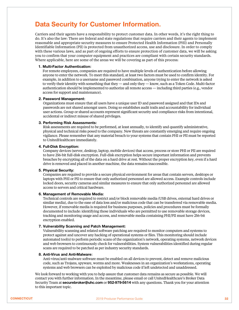## **Data Security for Customer Information.**

Carriers and their agents have a responsibility to protect customer data. In other words, it's the right thing to do. It's also the law: There are federal and state regulations that require carriers and their agents to implement reasonable and appropriate security measures to ensure Protected Health Information (PHI) and Personally Identifiable Information (PII) is protected from unauthorized access, use and disclosure. In order to comply with these various laws, and as part of ongoing efforts to ensure protection of customer data, we will be asking you to confirm that your computer equipment and practices are compliant with certain security standards. Where applicable, here are some of the areas we will be covering as part of this process:

#### **1. Multi-Factor Authentication:**

For remote employees, companies are required to have multiple levels of authentication before allowing anyone to enter the network. To meet this standard, at least two factors must be used to confirm identity. For example, in addition to a username and password combination, anyone trying to enter the network is asked to verify their identity with something that they — and only they — know, such as a Token Code. Multi-factor authentication should be implemented to authorize all remote access — including third parties (e.g., vendor access for support and maintenance).

#### **2. Password Management:**

Organizations must ensure that all users have a unique user ID and password assigned and that IDs and passwords are not shared amongst users. Doing so establishes audit trails and accountability for individual user actions. Group or shared accounts represent significant security and compliance risks from intentional, accidental or indirect misuse of shared privileges.

#### **3. Performing Risk Assessments:**

Risk assessments are required to be performed, at least annually, to identify and quantify administrative, physical and technical risks posed to the company. New threats are constantly emerging and require ongoing vigilance. Please remember that any material breach to your systems that contain PHI or PII must be reported to UnitedHealthcare immediately.

#### **4. Full-Disk Encryption:**

Company devices (server, desktop, laptop, mobile devices) that access, process or store PHI or PII are required to have 256-bit full-disk encryption. Full-disk encryption helps secure important information and prevents breaches by encrypting all of the data on a hard drive at rest. Without the proper encryption key, even if a hard drive is removed and placed in another machine, the data remains inaccessible.

#### **5. Physical Security:**

Companies are required to provide a secure physical environment for areas that contain servers, desktops or laptops with PHI or PII to ensure that only authorized personnel are allowed access. Example controls include locked doors, security cameras and similar measures to ensure that only authorized personnel are allowed access to servers and critical hardware.

#### **6. Management of Removable Media:**

Technical controls are required to restrict and/or block removable media (USB drives, external hard drives or similar media), due to the ease of data loss and/or malicious code that can be transferred via removable media. However, if removable media is required for business purposes, policies and procedures must be formally documented to include: identifying those individuals who are permitted to use removable storage devices, tracking and monitoring usage and access, and removable media containing PHI/PII must have 256-bit encryption enabled.

#### **7. Vulnerability Scanning and Patch Management:**

Vulnerability scanning and related software patching are required to monitor computers and systems to protect against and uncover any hacking of operational systems or files. This monitoring should include automated tool(s) to perform periodic scans of the organization's network, operating systems, network devices and web browsers to continuously check for vulnerabilities. System vulnerabilities identified during regular scans are required to be patched as per industry security standards.

#### **8. Anti-Virus and Anti-Malware:**

Anti-virus/anti-malware software must be enabled on all devices to prevent, detect and remove malicious code, such as Trojans, spyware, worms and more. Weaknesses in an organization's workstations, operating systems and web browsers can be exploited by malicious code if left undetected and unaddressed.

We look forward to working with you to help assure that customer data remains as secure as possible. We will contact you with further information. In the meantime, please email or call UnitedHealthcare's Broker Data Security Team at **securebroker@uhc.com** or **952-979-5614** with any questions. Thank you for your attention to this important topic.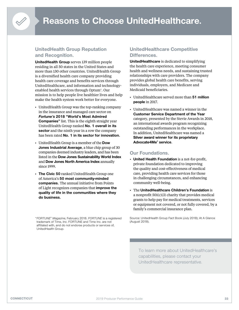## **UnitedHealth Group Reputation and Recognition.**

**UnitedHealth Group** serves 139 million people residing in all 50 states in the United States and more than 130 other countries. UnitedHealth Group is a diversified health care company providing health care coverage and benefits services through UnitedHealthcare, and information and technologyenabled health services through Optum® . Our mission is to help people live healthier lives and help make the health system work better for everyone.

- UnitedHealth Group was the top-ranking company in the insurance and managed care sector on *Fortune's* **2018 "World's Most Admired Companies"** list. This is the eighth straight year UnitedHealth Group ranked **No. 1 overall in its sector** and the ninth year in a row the company has been rated **No. 1 in its sector for innovation.**
- UnitedHealth Group is a member of the **Dow Jones Industrial Average**, a blue chip group of 30 companies deemed industry leaders, and has been listed in the **Dow Jones Sustainability World Index** and **Dow Jones North America Index** annually since 1999.
- **The Civic 50** ranked UnitedHealth Group one of America's **50 most community-minded companies.** The annual initiative from Points of Light recognizes companies that **improve the quality of life in the communities where they do business.**

\**FORTUNE® Magazine*, February 2018. *FORTUNE* is a registered trademark of Time, Inc. FORTUNE and Time Inc. are not affiliated with, and do not endorse products or services of, UnitedHealth Group.

## **UnitedHealthcare Competitive Differences.**

**UnitedHealthcare** is dedicated to simplifying the health care experience, meeting consumer health and wellness needs, and sustaining trusted relationships with care providers. The company provides global health care benefits, serving individuals, employers, and Medicare and Medicaid beneficiaries.

- UnitedHealthcare served more than **51 million people** in 2017.
- UnitedHealthcare was named a winner in the **Customer Service Department of the Year**  category, presented by the Stevie Awards in 2018, an international awards program recognizing outstanding performances in the workplace. In addition, UnitedHealthcare was named a **Silver award winner for its proprietary Advocate4Me® service**.

## **Our Foundations.**

- **United Health Foundation** is a not-for-profit, private foundation dedicated to improving the quality and cost-effectiveness of medical care, providing health care services for those in challenging circumstances, and enhancing community well-being.
- The **UnitedHealthcare Children's Foundation** is a nonprofit 501(c)(3) charity that provides medical grants to help pay for medical treatments, services or equipment not covered, or not fully covered, by a family's commercial insurance plan.

Source: UnitedHealth Group Fact Book (July 2018); At A Glance (August 2018).

To learn more about UnitedHealthcare's capabilities, please contact your UnitedHealthcare representative.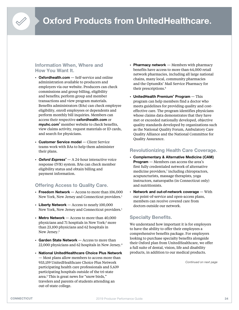

#### **Information When, Where and How You Want It.**

- **[Oxfordhealth.com](http://Oxfordhealth.com)** Self-service and online administration available to producers and employers via our website. Producers can check commissions and group billing, eligibility and benefits; perform group and member transactions and view program materials. Benefits administrators (BAs) can check employee eligibility, enroll employees or dependents and perform monthly bill inquiries. Members can access their respective **[oxfordhealth.com](http://oxfordhealth.com)** or **[myuhc.com](http://myuhc.com)®** member website to check benefits, view claims activity, request materials or ID cards, and search for physicians.
- **Customer Service model** Client Service teams work with BAs to help them administer their plans.
- Oxford Express<sup>®</sup> A 24-hour interactive voice response (IVR) system. BAs can check member eligibility status and obtain billing and payment information.

## **Offering Access to Quality Care.**

- **Freedom Network** Access to more than 106,000 New York, New Jersey and Connecticut providers.1
- **Liberty Network** Access to nearly 100,000 New York, New Jersey and Connecticut providers.<sup>1</sup>
- **Metro Network** Access to more than 40,000 physicians and 71 hospitals in New York;<sup>2</sup> more than 23,100 physicians and 62 hospitals in New Jersey.3
- **Garden State Network** Access to more than 22,000 physicians and 62 hospitals in New Jersey.4
- **National UnitedHealthcare Choice Plus Network** — Most plans allow members to access more than 933,159 UnitedHealthcare Choice Plus Network participating health care professionals and 5,639 participating hospitals outside of the tri-state area.5 This is great news for "snow birds," travelers and parents of students attending an out-of-state college.
- **Pharmacy network** Members with pharmacy benefits have access to more than 64,000 retail network pharmacies, including all large national chains, many local, community pharmacies and the OptumRx® Mail Service Pharmacy for their prescriptions.<sup>6</sup>
- **UnitedHealth Premium® Program** This program can help members find a doctor who meets guidelines for providing quality and costeffective care. The program identifies physicians whose claims data demonstrates that they have met or exceeded nationally developed, objective quality standards developed by organizations such as the National Quality Forum, Ambulatory Care Quality Alliance and the National Committee for Quality Assurance.

### **Revolutionizing Health Care Coverage.**

- **Complementary & Alternative Medicine (CAM) Program** — Members can access the area's first fully credentialed network of alternative medicine providers,<sup>7</sup> including chiropractors, acupuncturists, massage therapists, yoga instructors, naturopaths (in Connecticut only) and nutritionists.
- **Network and out-of-network coverage** With our point-of-service and open-access plans, members can receive covered care from doctors outside our network.

### **Specialty Benefits.**

We understand how important it is for employers to have the ability to offer their employees a comprehensive benefits package. For employers looking to purchase specialty benefits alongside their Oxford plan from UnitedHealthcare, we offer a full suite of dental, vision, life and disability products, in addition to our medical products.

*Continued on next page*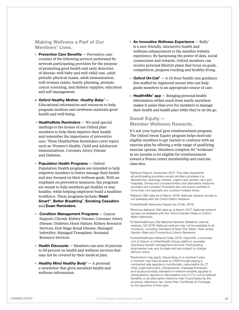### **Making Wellness a Part of Our Members' Lives.**

- **Preventive Care Benefits** Preventive care consists of the following services performed by network participating providers for the purpose of promoting good health and early detection of disease: well-baby and well-child care, adult periodic physical exams, adult immunization, well-woman exams, family planning, prostate cancer screening, and diabetic supplies, education and self-management.
- *• Oxford Healthy Mother, Healthy Baby®* — Educational information and resources to help pregnant mothers and newborns maintain good health and well-being.
- *•* **HealtheNote Reminders** We send special mailings to the homes of our Oxford plan members to help them improve their health and remember the importance of preventive care. These HealtheNote Reminders cover topics such as: Women's Health, Child and Adolescent Immunizations, Coronary Artery Disease and Diabetes.
- **Population Health Programs**  Oxford Population Health programs are intended to help empower members to better manage their health and stay focused on their wellness goals. With an emphasis on preventive measures, the programs are meant to help members get healthy or stay healthy, while helping employers build a healthier workforce. These programs include: **Heart SmartSM** , **Better Breathing®** , **Smoking Cessation** and **Exam Reminders**.
- **Condition Management Programs** Cancer Support; Chronic Kidney Disease; Coronary Artery Disease; Diabetes; Heart Failure; Kidney Resource Services; End-Stage Renal Disease; Managed Infertility; Managed Transplant; Neonatal Resource Services.
- **Health Discounts** Members can save 10 percent to 50 percent on health and wellness services that may not be covered by their medical plan.
- *Healthy Mind Healthy Body®* — A personal e-newsletter that gives members health and wellness information.
- **An Innovative Wellness Experience** Rally® is a user-friendly, interactive health and wellness enhancement to the member website experience. By harnessing the power of data, social connections and rewards, Oxford members can receive personal lifestyle plans that focus on goals, competition, progress tracking and healthy living.
- Oxford On-Call<sup>®</sup> A 24-hour health care guidance line staffed by registered nurses who can help guide members to an appropriate source of care.
- **Health4Me® app** Bringing personal health information within reach from nearly anywhere makes it easier than ever for members to manage their health and health plan while they're on the go.

## **Sweat Equity — Member Wellness Rewards.**

It's not your typical gym reimbursement program. The Oxford Sweat Equity program helps motivate eligible members to get started or continue with an exercise plan by offering a wide range of qualifying exercise options. Members complete 50 "workouts" in six months to be eligible for reimbursement toward a fitness center membership and exercise class fees.

1 Network Report, November 2017. This data represents all participating providers except ancillary providers (i.e., laboratories, radiology centers, urgent care centers, etc.) and hospitals. Dental and complementary and alternative medicine providers are included. Providers who are board certified in more than one specialty are counted multiple times.

2Network 360 data as of March 2018. National network access is not available with the Oxford Metro Network.

3UnitedHealth Networks Report as of Feb. 2018.

4Strennus Network 360 data as of March 2017. National network access not available with the Oxford Garden State or Oxford Metro Networks.

5UnitedHealthcare, E&I National Network Statistics; internal analysis, Q3 2018. National network may not be available to all members, including members of New York Metro, New Jersey Garden State and Connecticut Liberty Networks.

6UnitedHealthcare Network Data; 2016. OptumRx, a business unit of Optum, a UnitedHealth Group platform, provides pharmacy benefit management services. Participating pharmacies may vary by state and are subject to change without notice.

7Restrictions may apply. Depending on a member's plan, a member may have access to CAM through paying a contracted rate (applies to nutritionists, naturopaths [in CT only], yoga instructors, chiropractors, massage therapists, and acupuncturists); standard in-network benefits (applies to chiropractors; applies to naturopaths only in CT); out-of-network benefits; or an alternative medicine rider if purchased by the employer. Members can check their Certificate of Coverage for the specifics of their plan.